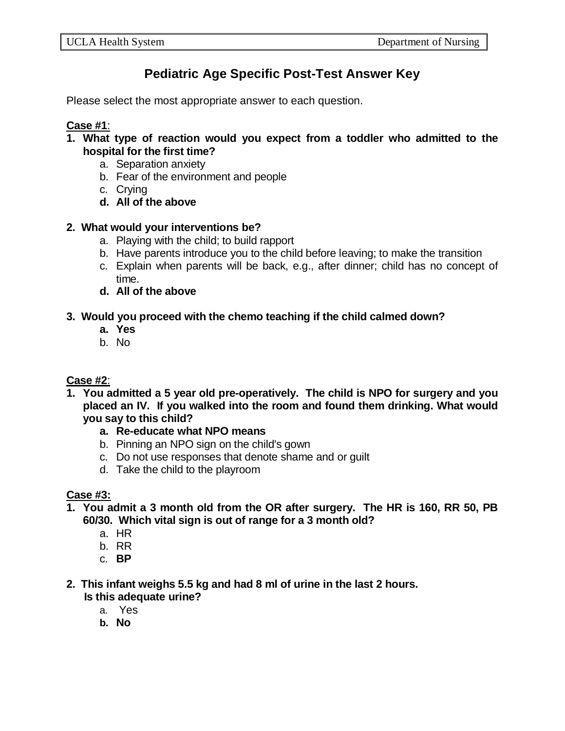# **Pediatric Age Specific Post-Test Answer Key**

Please select the most appropriate answer to each question.

### **Case #1**:

- **1. What type of reaction would you expect from a toddler who admitted to the hospital for the first time?**
	- a. Separation anxiety
	- b. Fear of the environment and people
	- c. Crying
	- **d. All of the above**

# **2. What would your interventions be?**

- a. Playing with the child; to build rapport
- b. Have parents introduce you to the child before leaving; to make the transition
- c. Explain when parents will be back, e.g., after dinner; child has no concept of time.
- **d. All of the above**

# **3. Would you proceed with the chemo teaching if the child calmed down?**

- **a. Yes**
- b. No

# **Case #2**:

- **1. You admitted a 5 year old pre-operatively. The child is NPO for surgery and you placed an IV. If you walked into the room and found them drinking. What would you say to this child?**
	- **a. Re-educate what NPO means**
	- b. Pinning an NPO sign on the child's gown
	- c. Do not use responses that denote shame and or guilt
	- d. Take the child to the playroom

# **Case #3:**

- **1. You admit a 3 month old from the OR after surgery. The HR is 160, RR 50, PB 60/30. Which vital sign is out of range for a 3 month old?**
	- a. HR
	- b. RR
	- c. **BP**
- **2. This infant weighs 5.5 kg and had 8 ml of urine in the last 2 hours. Is this adequate urine?**
	- a. Yes
	- **b. No**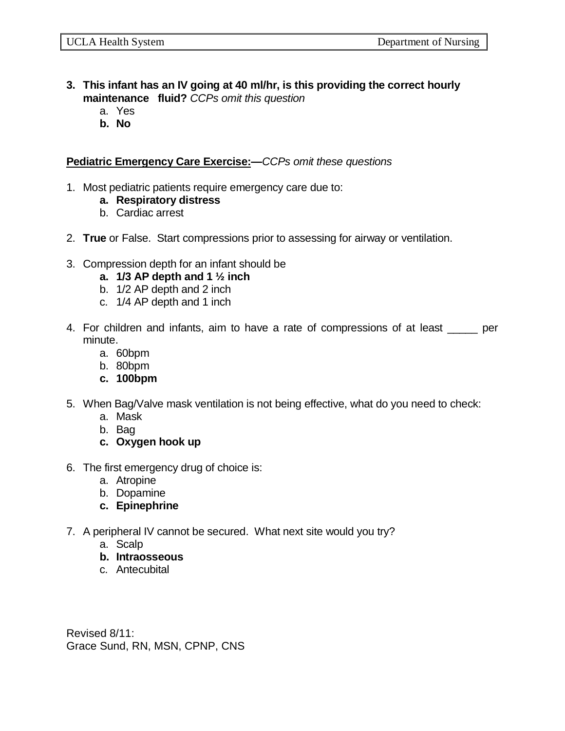- **3. This infant has an IV going at 40 ml/hr, is this providing the correct hourly maintenance fluid?** *CCPs omit this question*
	- a. Yes
	- **b. No**

**Pediatric Emergency Care Exercise:—***CCPs omit these questions*

- 1. Most pediatric patients require emergency care due to:
	- **a. Respiratory distress**
	- b. Cardiac arrest
- 2. **True** or False. Start compressions prior to assessing for airway or ventilation.
- 3. Compression depth for an infant should be
	- **a. 1/3 AP depth and 1 ½ inch**
	- b. 1/2 AP depth and 2 inch
	- c. 1/4 AP depth and 1 inch
- 4. For children and infants, aim to have a rate of compressions of at least \_\_\_\_\_ per minute.
	- a. 60bpm
	- b. 80bpm
	- **c. 100bpm**
- 5. When Bag/Valve mask ventilation is not being effective, what do you need to check:
	- a. Mask
	- b. Bag
	- **c. Oxygen hook up**
- 6. The first emergency drug of choice is:
	- a. Atropine
	- b. Dopamine
	- **c. Epinephrine**
- 7. A peripheral IV cannot be secured. What next site would you try?
	- a. Scalp
	- **b. Intraosseous**
	- c. Antecubital

Revised 8/11: Grace Sund, RN, MSN, CPNP, CNS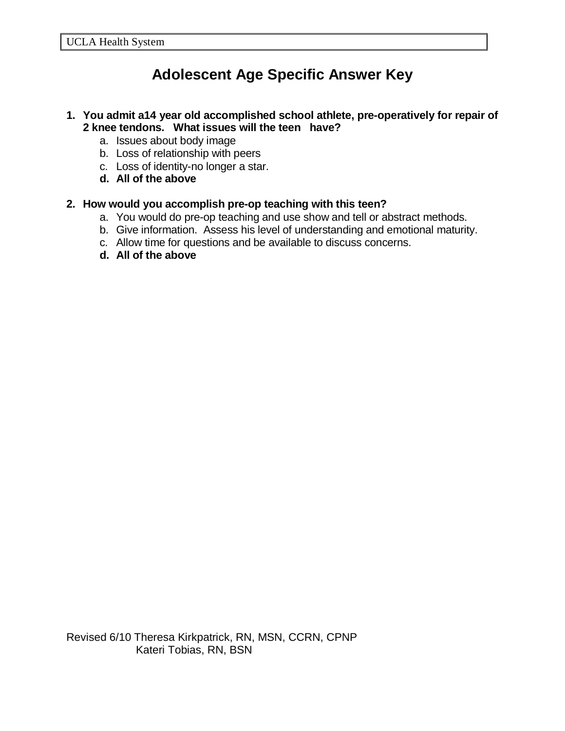# **Adolescent Age Specific Answer Key**

#### **1. You admit a14 year old accomplished school athlete, pre-operatively for repair of 2 knee tendons. What issues will the teen have?**

- a. Issues about body image
- b. Loss of relationship with peers
- c. Loss of identity-no longer a star.
- **d. All of the above**

### **2. How would you accomplish pre-op teaching with this teen?**

- a. You would do pre-op teaching and use show and tell or abstract methods.
- b. Give information. Assess his level of understanding and emotional maturity.
- c. Allow time for questions and be available to discuss concerns.
- **d. All of the above**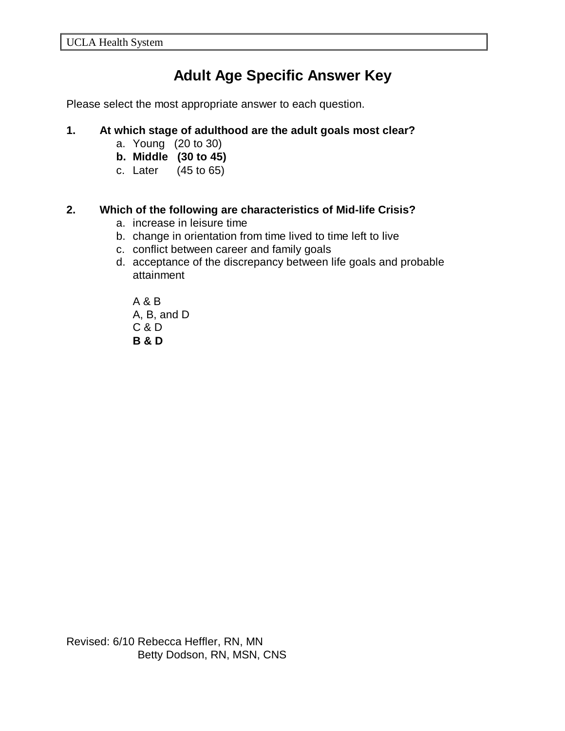# **Adult Age Specific Answer Key**

Please select the most appropriate answer to each question.

#### **1. At which stage of adulthood are the adult goals most clear?**

- a. Young (20 to 30)
- **b. Middle (30 to 45)**
- c. Later (45 to 65)

# **2. Which of the following are characteristics of Mid-life Crisis?**

- a. increase in leisure time
- b. change in orientation from time lived to time left to live
- c. conflict between career and family goals
- d. acceptance of the discrepancy between life goals and probable attainment

A & B A, B, and D C & D **B & D**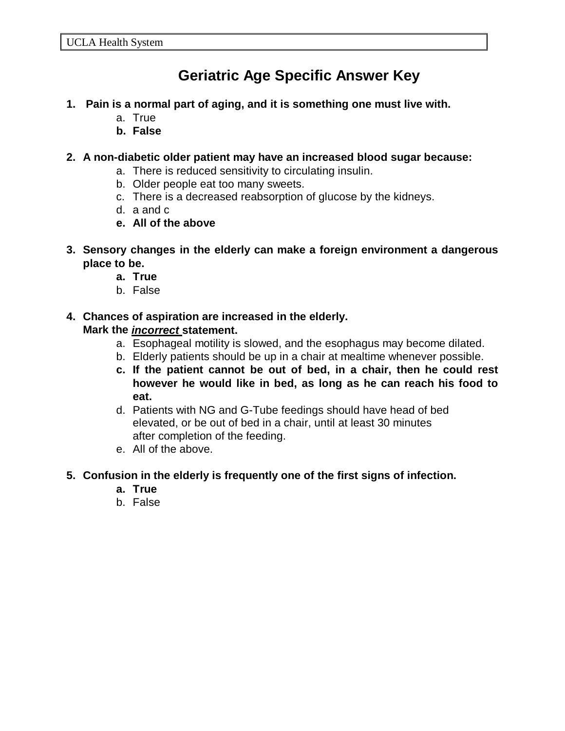# **Geriatric Age Specific Answer Key**

- **1. Pain is a normal part of aging, and it is something one must live with.**
	- a. True
	- **b. False**

### **2. A non-diabetic older patient may have an increased blood sugar because:**

- a. There is reduced sensitivity to circulating insulin.
- b. Older people eat too many sweets.
- c. There is a decreased reabsorption of glucose by the kidneys.
- d. a and c
- **e. All of the above**
- **3. Sensory changes in the elderly can make a foreign environment a dangerous place to be.**
	- **a. True**
	- b. False

# **4. Chances of aspiration are increased in the elderly. Mark the** *incorrect* **statement.**

- a. Esophageal motility is slowed, and the esophagus may become dilated.
- b. Elderly patients should be up in a chair at mealtime whenever possible.
- **c. If the patient cannot be out of bed, in a chair, then he could rest however he would like in bed, as long as he can reach his food to eat.**
- d. Patients with NG and G-Tube feedings should have head of bed elevated, or be out of bed in a chair, until at least 30 minutes after completion of the feeding.
- e. All of the above.

#### **5. Confusion in the elderly is frequently one of the first signs of infection.**

- **a. True**
- b. False